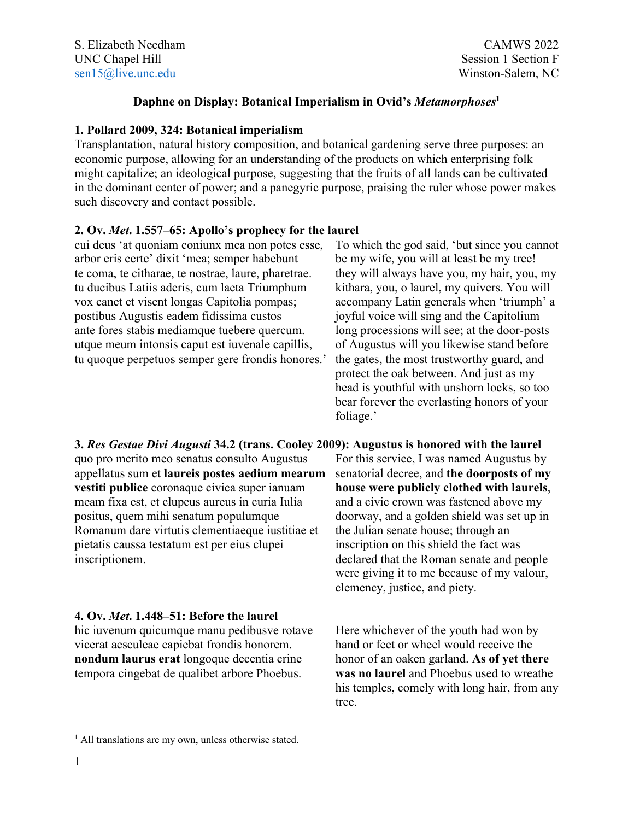# **Daphne on Display: Botanical Imperialism in Ovid's** *Metamorphoses***<sup>1</sup>**

# **1. Pollard 2009, 324: Botanical imperialism**

Transplantation, natural history composition, and botanical gardening serve three purposes: an economic purpose, allowing for an understanding of the products on which enterprising folk might capitalize; an ideological purpose, suggesting that the fruits of all lands can be cultivated in the dominant center of power; and a panegyric purpose, praising the ruler whose power makes such discovery and contact possible.

# **2. Ov.** *Met***. 1.557–65: Apollo's prophecy for the laurel**

cui deus 'at quoniam coniunx mea non potes esse, arbor eris certe' dixit 'mea; semper habebunt te coma, te citharae, te nostrae, laure, pharetrae. tu ducibus Latiis aderis, cum laeta Triumphum vox canet et visent longas Capitolia pompas; postibus Augustis eadem fidissima custos ante fores stabis mediamque tuebere quercum. utque meum intonsis caput est iuvenale capillis, tu quoque perpetuos semper gere frondis honores.'

To which the god said, 'but since you cannot be my wife, you will at least be my tree! they will always have you, my hair, you, my kithara, you, o laurel, my quivers. You will accompany Latin generals when 'triumph' a joyful voice will sing and the Capitolium long processions will see; at the door-posts of Augustus will you likewise stand before the gates, the most trustworthy guard, and protect the oak between. And just as my head is youthful with unshorn locks, so too bear forever the everlasting honors of your foliage.'

**3.** *Res Gestae Divi Augusti* **34.2 (trans. Cooley 2009): Augustus is honored with the laurel** quo pro merito meo senatus consulto Augustus appellatus sum et **laureis postes aedium mearum vestiti publice** coronaque civica super ianuam meam fixa est, et clupeus aureus in curia Iulia positus, quem mihi senatum populumque Romanum dare virtutis clementiaeque iustitiae et pietatis caussa testatum est per eius clupei inscriptionem.

## **4. Ov.** *Met***. 1.448–51: Before the laurel**

hic iuvenum quicumque manu pedibusve rotave vicerat aesculeae capiebat frondis honorem. **nondum laurus erat** longoque decentia crine tempora cingebat de qualibet arbore Phoebus.

For this service, I was named Augustus by senatorial decree, and **the doorposts of my house were publicly clothed with laurels**, and a civic crown was fastened above my doorway, and a golden shield was set up in the Julian senate house; through an inscription on this shield the fact was declared that the Roman senate and people were giving it to me because of my valour, clemency, justice, and piety.

Here whichever of the youth had won by hand or feet or wheel would receive the honor of an oaken garland. **As of yet there was no laurel** and Phoebus used to wreathe his temples, comely with long hair, from any tree.

<sup>&</sup>lt;sup>1</sup> All translations are my own, unless otherwise stated.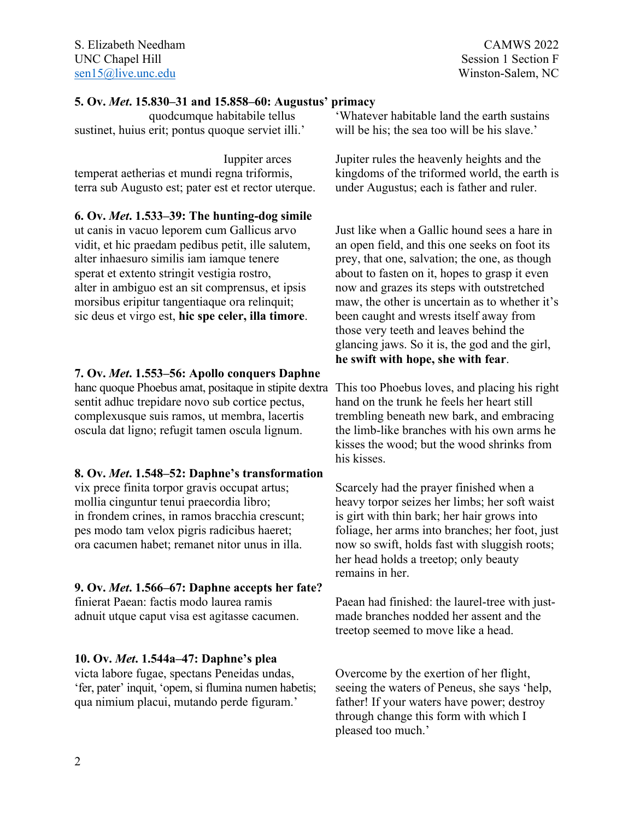### **5. Ov.** *Met***. 15.830–31 and 15.858–60: Augustus' primacy**

quodcumque habitabile tellus sustinet, huius erit; pontus quoque serviet illi.'

Iuppiter arces temperat aetherias et mundi regna triformis, terra sub Augusto est; pater est et rector uterque.

**6. Ov.** *Met***. 1.533–39: The hunting-dog simile**

ut canis in vacuo leporem cum Gallicus arvo vidit, et hic praedam pedibus petit, ille salutem, alter inhaesuro similis iam iamque tenere sperat et extento stringit vestigia rostro, alter in ambiguo est an sit comprensus, et ipsis morsibus eripitur tangentiaque ora relinquit; sic deus et virgo est, **hic spe celer, illa timore**.

## **7. Ov.** *Met***. 1.553–56: Apollo conquers Daphne**

hanc quoque Phoebus amat, positaque in stipite dextra This too Phoebus loves, and placing his right sentit adhuc trepidare novo sub cortice pectus, complexusque suis ramos, ut membra, lacertis oscula dat ligno; refugit tamen oscula lignum.

#### **8. Ov.** *Met***. 1.548–52: Daphne's transformation**

vix prece finita torpor gravis occupat artus; mollia cinguntur tenui praecordia libro; in frondem crines, in ramos bracchia crescunt; pes modo tam velox pigris radicibus haeret; ora cacumen habet; remanet nitor unus in illa.

#### **9. Ov.** *Met***. 1.566–67: Daphne accepts her fate?**

finierat Paean: factis modo laurea ramis adnuit utque caput visa est agitasse cacumen.

#### **10. Ov.** *Met***. 1.544a–47: Daphne's plea**

victa labore fugae, spectans Peneidas undas, 'fer, pater' inquit, 'opem, si flumina numen habetis; qua nimium placui, mutando perde figuram.'

'Whatever habitable land the earth sustains will be his; the sea too will be his slave.'

Jupiter rules the heavenly heights and the kingdoms of the triformed world, the earth is under Augustus; each is father and ruler.

Just like when a Gallic hound sees a hare in an open field, and this one seeks on foot its prey, that one, salvation; the one, as though about to fasten on it, hopes to grasp it even now and grazes its steps with outstretched maw, the other is uncertain as to whether it's been caught and wrests itself away from those very teeth and leaves behind the glancing jaws. So it is, the god and the girl, **he swift with hope, she with fear**.

hand on the trunk he feels her heart still trembling beneath new bark, and embracing the limb-like branches with his own arms he kisses the wood; but the wood shrinks from his kisses.

Scarcely had the prayer finished when a heavy torpor seizes her limbs; her soft waist is girt with thin bark; her hair grows into foliage, her arms into branches; her foot, just now so swift, holds fast with sluggish roots; her head holds a treetop; only beauty remains in her.

Paean had finished: the laurel-tree with justmade branches nodded her assent and the treetop seemed to move like a head.

Overcome by the exertion of her flight, seeing the waters of Peneus, she says 'help, father! If your waters have power; destroy through change this form with which I pleased too much.'